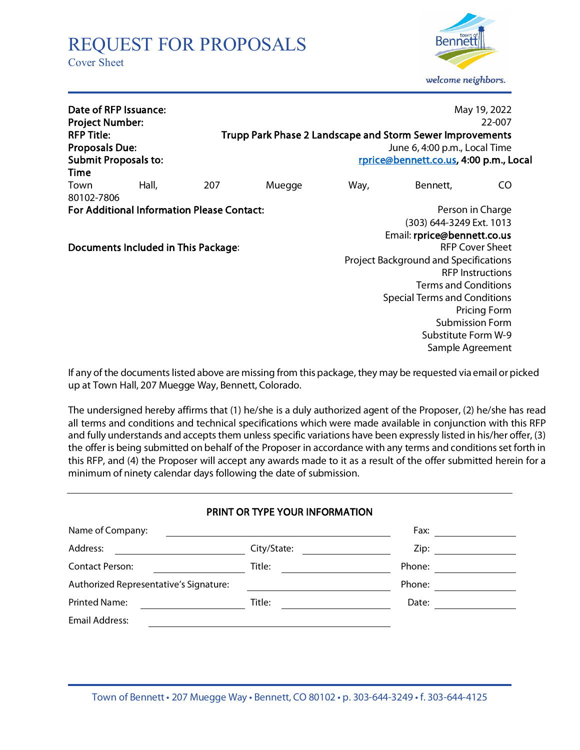# REQUEST FOR PROPOSALS Cover Sheet



| Date of RFP Issuance:<br><b>Project Number:</b><br><b>RFP Title:</b><br><b>Proposals Due:</b><br><b>Submit Proposals to:</b><br>Time |                                                   |     | May 19, 2022<br>22-007<br>Trupp Park Phase 2 Landscape and Storm Sewer Improvements<br>June 6, 4:00 p.m., Local Time<br>rprice@bennett.co.us, 4:00 p.m., Local |                                     |                                              |                         |  |  |
|--------------------------------------------------------------------------------------------------------------------------------------|---------------------------------------------------|-----|----------------------------------------------------------------------------------------------------------------------------------------------------------------|-------------------------------------|----------------------------------------------|-------------------------|--|--|
| Town                                                                                                                                 | Hall,                                             | 207 | Muegge                                                                                                                                                         | Way,                                | Bennett,                                     | CO.                     |  |  |
| 80102-7806                                                                                                                           |                                                   |     |                                                                                                                                                                |                                     |                                              |                         |  |  |
|                                                                                                                                      | <b>For Additional Information Please Contact:</b> |     |                                                                                                                                                                |                                     | Person in Charge                             |                         |  |  |
|                                                                                                                                      |                                                   |     |                                                                                                                                                                | (303) 644-3249 Ext. 1013            |                                              |                         |  |  |
|                                                                                                                                      |                                                   |     |                                                                                                                                                                | Email: rprice@bennett.co.us         |                                              |                         |  |  |
|                                                                                                                                      | Documents Included in This Package:               |     |                                                                                                                                                                | <b>RFP Cover Sheet</b>              |                                              |                         |  |  |
|                                                                                                                                      |                                                   |     |                                                                                                                                                                |                                     | <b>Project Background and Specifications</b> |                         |  |  |
|                                                                                                                                      |                                                   |     |                                                                                                                                                                |                                     |                                              | <b>RFP Instructions</b> |  |  |
|                                                                                                                                      |                                                   |     |                                                                                                                                                                |                                     | <b>Terms and Conditions</b>                  |                         |  |  |
|                                                                                                                                      |                                                   |     |                                                                                                                                                                | <b>Special Terms and Conditions</b> |                                              |                         |  |  |
|                                                                                                                                      |                                                   |     |                                                                                                                                                                |                                     |                                              | <b>Pricing Form</b>     |  |  |
|                                                                                                                                      |                                                   |     |                                                                                                                                                                |                                     | <b>Submission Form</b>                       |                         |  |  |
|                                                                                                                                      |                                                   |     |                                                                                                                                                                |                                     | Substitute Form W-9                          |                         |  |  |
|                                                                                                                                      |                                                   |     |                                                                                                                                                                |                                     | Sample Agreement                             |                         |  |  |

If any of the documents listed above are missing from this package, they may be requested via email or picked up at Town Hall, 207 Muegge Way, Bennett, Colorado.

The undersigned hereby affirms that (1) he/she is a duly authorized agent of the Proposer, (2) he/she has read all terms and conditions and technical specifications which were made available in conjunction with this RFP and fully understands and accepts them unless specific variations have been expressly listed in his/her offer, (3) the offer is being submitted on behalf of the Proposer in accordance with any terms and conditions set forth in this RFP, and (4) the Proposer will accept any awards made to it as a result of the offer submitted herein for a minimum of ninety calendar days following the date of submission.

|                                        | PRINT OR TYPE YOUR INFORMATION |        |  |
|----------------------------------------|--------------------------------|--------|--|
| Name of Company:                       |                                | Fax:   |  |
| Address:                               | City/State:                    | Zip:   |  |
| Contact Person:                        | Title:                         | Phone: |  |
| Authorized Representative's Signature: |                                | Phone: |  |
| Printed Name:                          | Title:                         | Date:  |  |
| Email Address:                         |                                |        |  |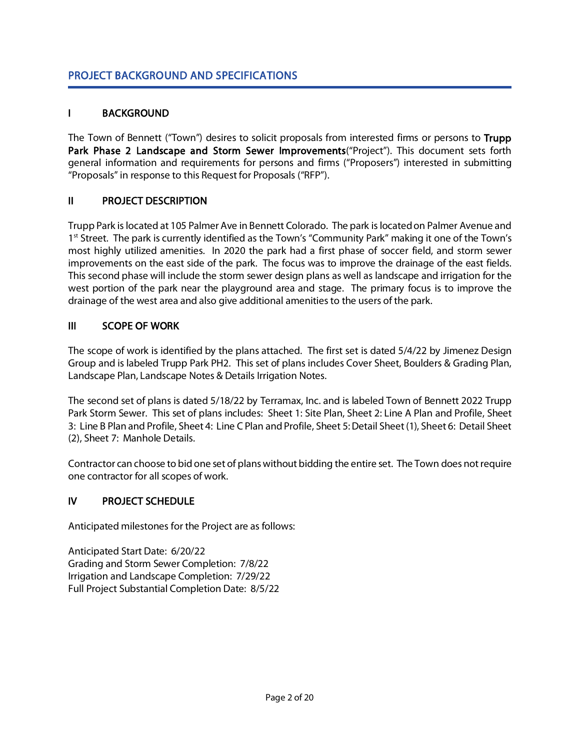# PROJECT BACKGROUND AND SPECIFICATIONS

# I BACKGROUND

 $\overline{a}$ 

The Town of Bennett ("Town") desires to solicit proposals from interested firms or persons to Trupp Park Phase 2 Landscape and Storm Sewer Improvements("Project"). This document sets forth general information and requirements for persons and firms ("Proposers") interested in submitting "Proposals" in response to this Request for Proposals ("RFP").

## II PROJECT DESCRIPTION

Trupp Park is located at 105 Palmer Ave in Bennett Colorado. The park is located on Palmer Avenue and 1<sup>st</sup> Street. The park is currently identified as the Town's "Community Park" making it one of the Town's most highly utilized amenities. In 2020 the park had a first phase of soccer field, and storm sewer improvements on the east side of the park. The focus was to improve the drainage of the east fields. This second phase will include the storm sewer design plans as well as landscape and irrigation for the west portion of the park near the playground area and stage. The primary focus is to improve the drainage of the west area and also give additional amenities to the users of the park.

## III SCOPE OF WORK

The scope of work is identified by the plans attached. The first set is dated 5/4/22 by Jimenez Design Group and is labeled Trupp Park PH2. This set of plans includes Cover Sheet, Boulders & Grading Plan, Landscape Plan, Landscape Notes & Details Irrigation Notes.

The second set of plans is dated 5/18/22 by Terramax, Inc. and is labeled Town of Bennett 2022 Trupp Park Storm Sewer. This set of plans includes: Sheet 1: Site Plan, Sheet 2: Line A Plan and Profile, Sheet 3: Line B Plan and Profile, Sheet 4: Line C Plan and Profile, Sheet 5: Detail Sheet (1), Sheet 6: Detail Sheet (2), Sheet 7: Manhole Details.

Contractor can choose to bid one set of plans without bidding the entire set. The Town does not require one contractor for all scopes of work.

## IV PROJECT SCHEDULE

Anticipated milestones for the Project are as follows:

Anticipated Start Date: 6/20/22 Grading and Storm Sewer Completion: 7/8/22 Irrigation and Landscape Completion: 7/29/22 Full Project Substantial Completion Date: 8/5/22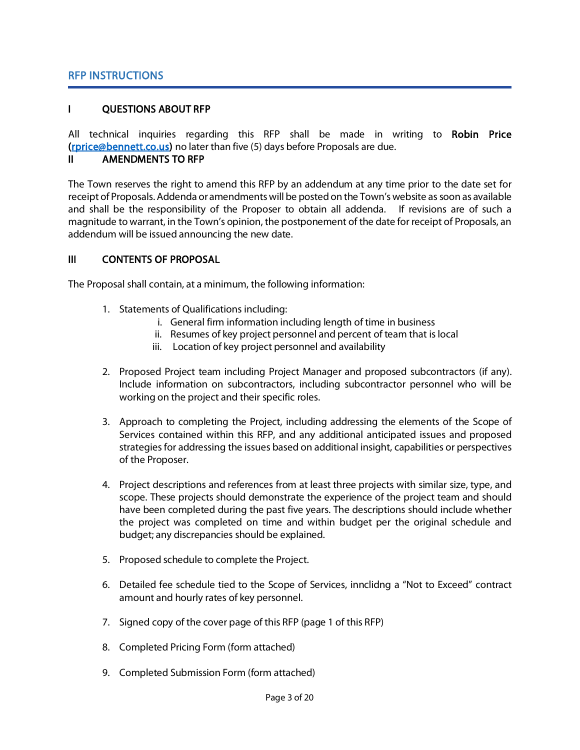### RFP INSTRUCTIONS

## I QUESTIONS ABOUT RFP

All technical inquiries regarding this RFP shall be made in writing to Robin Price [\(rprice@bennett.co.us\)](mailto:rprice@bennett.co.us) no later than five (5) days before Proposals are due.

#### II AMENDMENTS TO RFP

The Town reserves the right to amend this RFP by an addendum at any time prior to the date set for receipt of Proposals. Addenda or amendments will be posted on the Town's website as soon as available and shall be the responsibility of the Proposer to obtain all addenda. If revisions are of such a magnitude to warrant, in the Town's opinion, the postponement of the date for receipt of Proposals, an addendum will be issued announcing the new date.

## III CONTENTS OF PROPOSAL

The Proposal shall contain, at a minimum, the following information:

- 1. Statements of Qualifications including:
	- i. General firm information including length of time in business
	- ii. Resumes of key project personnel and percent of team that is local
	- iii. Location of key project personnel and availability
- 2. Proposed Project team including Project Manager and proposed subcontractors (if any). Include information on subcontractors, including subcontractor personnel who will be working on the project and their specific roles.
- 3. Approach to completing the Project, including addressing the elements of the Scope of Services contained within this RFP, and any additional anticipated issues and proposed strategies for addressing the issues based on additional insight, capabilities or perspectives of the Proposer.
- 4. Project descriptions and references from at least three projects with similar size, type, and scope. These projects should demonstrate the experience of the project team and should have been completed during the past five years. The descriptions should include whether the project was completed on time and within budget per the original schedule and budget; any discrepancies should be explained.
- 5. Proposed schedule to complete the Project.
- 6. Detailed fee schedule tied to the Scope of Services, innclidng a "Not to Exceed" contract amount and hourly rates of key personnel.
- 7. Signed copy of the cover page of this RFP (page 1 of this RFP)
- 8. Completed Pricing Form (form attached)
- 9. Completed Submission Form (form attached)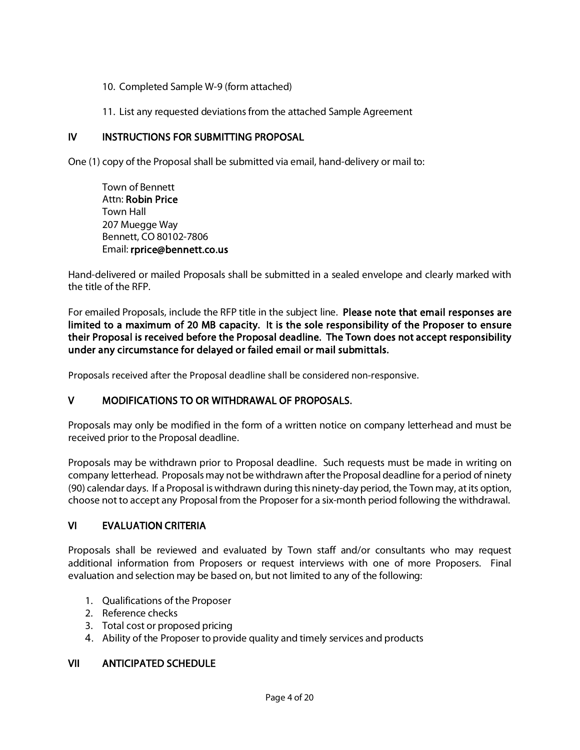- 10. Completed Sample W-9 (form attached)
- 11. List any requested deviations from the attached Sample Agreement

# IV INSTRUCTIONS FOR SUBMITTING PROPOSAL

One (1) copy of the Proposal shall be submitted via email, hand-delivery or mail to:

Town of Bennett Attn: Robin Price Town Hall 207 Muegge Way Bennett, CO 80102-7806 Email: rprice@bennett.co.us

Hand-delivered or mailed Proposals shall be submitted in a sealed envelope and clearly marked with the title of the RFP.

For emailed Proposals, include the RFP title in the subject line. Please note that email responses are limited to a maximum of 20 MB capacity. It is the sole responsibility of the Proposer to ensure their Proposal is received before the Proposal deadline. The Town does not accept responsibility under any circumstance for delayed or failed email or mail submittals.

Proposals received after the Proposal deadline shall be considered non-responsive.

## V MODIFICATIONS TO OR WITHDRAWAL OF PROPOSALS.

Proposals may only be modified in the form of a written notice on company letterhead and must be received prior to the Proposal deadline.

Proposals may be withdrawn prior to Proposal deadline. Such requests must be made in writing on company letterhead. Proposals may not be withdrawn after the Proposal deadline for a period of ninety (90) calendar days. If a Proposal is withdrawn during this ninety-day period, the Town may, at its option, choose not to accept any Proposal from the Proposer for a six-month period following the withdrawal.

## VI EVALUATION CRITERIA

Proposals shall be reviewed and evaluated by Town staff and/or consultants who may request additional information from Proposers or request interviews with one of more Proposers. Final evaluation and selection may be based on, but not limited to any of the following:

- 1. Qualifications of the Proposer
- 2. Reference checks
- 3. Total cost or proposed pricing
- 4. Ability of the Proposer to provide quality and timely services and products

## VII ANTICIPATED SCHEDULE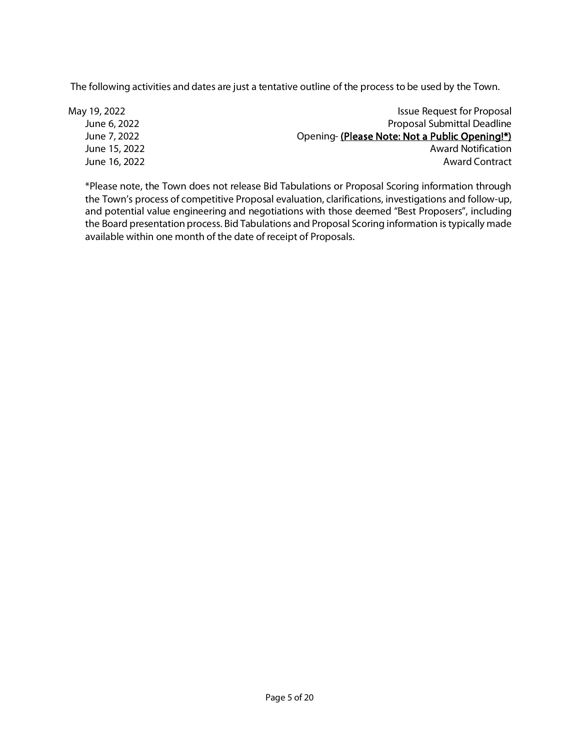The following activities and dates are just a tentative outline of the process to be used by the Town.

May 19, 2022 **Issue Request for Proposal** June 6, 2022 **Proposal Submittal Deadline** June 7, 2022 Opening- (Please Note: Not a Public Opening!\*) June 15, 2022 Award Notification June 16, 2022 **Award Contract** 

\*Please note, the Town does not release Bid Tabulations or Proposal Scoring information through the Town's process of competitive Proposal evaluation, clarifications, investigations and follow-up, and potential value engineering and negotiations with those deemed "Best Proposers", including the Board presentation process. Bid Tabulations and Proposal Scoring information is typically made available within one month of the date of receipt of Proposals.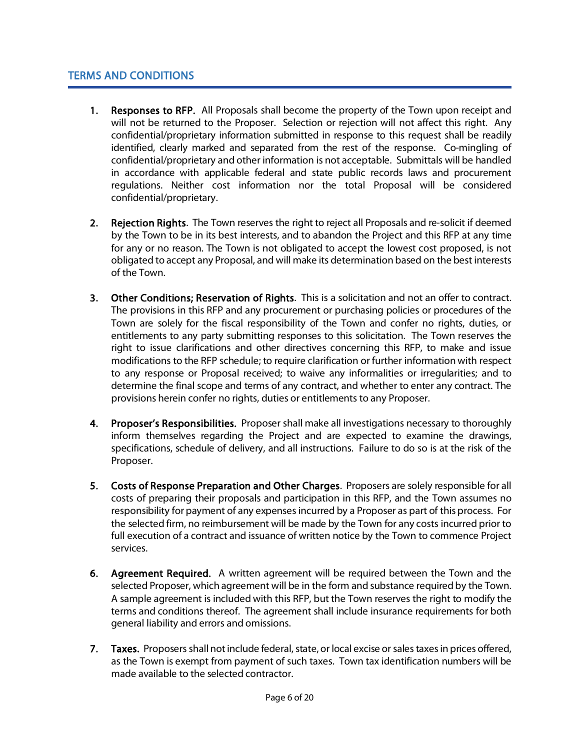j

- 1. Responses to RFP. All Proposals shall become the property of the Town upon receipt and will not be returned to the Proposer. Selection or rejection will not affect this right. Any confidential/proprietary information submitted in response to this request shall be readily identified, clearly marked and separated from the rest of the response. Co-mingling of confidential/proprietary and other information is not acceptable. Submittals will be handled in accordance with applicable federal and state public records laws and procurement regulations. Neither cost information nor the total Proposal will be considered confidential/proprietary.
- 2. Rejection Rights. The Town reserves the right to reject all Proposals and re-solicit if deemed by the Town to be in its best interests, and to abandon the Project and this RFP at any time for any or no reason. The Town is not obligated to accept the lowest cost proposed, is not obligated to accept any Proposal, and will make its determination based on the best interests of the Town.
- 3. Other Conditions; Reservation of Rights. This is a solicitation and not an offer to contract. The provisions in this RFP and any procurement or purchasing policies or procedures of the Town are solely for the fiscal responsibility of the Town and confer no rights, duties, or entitlements to any party submitting responses to this solicitation. The Town reserves the right to issue clarifications and other directives concerning this RFP, to make and issue modifications to the RFP schedule; to require clarification or further information with respect to any response or Proposal received; to waive any informalities or irregularities; and to determine the final scope and terms of any contract, and whether to enter any contract. The provisions herein confer no rights, duties or entitlements to any Proposer.
- 4. Proposer's Responsibilities. Proposer shall make all investigations necessary to thoroughly inform themselves regarding the Project and are expected to examine the drawings, specifications, schedule of delivery, and all instructions. Failure to do so is at the risk of the Proposer.
- 5. Costs of Response Preparation and Other Charges. Proposers are solely responsible for all costs of preparing their proposals and participation in this RFP, and the Town assumes no responsibility for payment of any expenses incurred by a Proposer as part of this process. For the selected firm, no reimbursement will be made by the Town for any costs incurred prior to full execution of a contract and issuance of written notice by the Town to commence Project services.
- 6. Agreement Required. A written agreement will be required between the Town and the selected Proposer, which agreement will be in the form and substance required by the Town. A sample agreement is included with this RFP, but the Town reserves the right to modify the terms and conditions thereof. The agreement shall include insurance requirements for both general liability and errors and omissions.
- 7. Taxes. Proposers shall not include federal, state, or local excise or sales taxes in prices offered, as the Town is exempt from payment of such taxes. Town tax identification numbers will be made available to the selected contractor.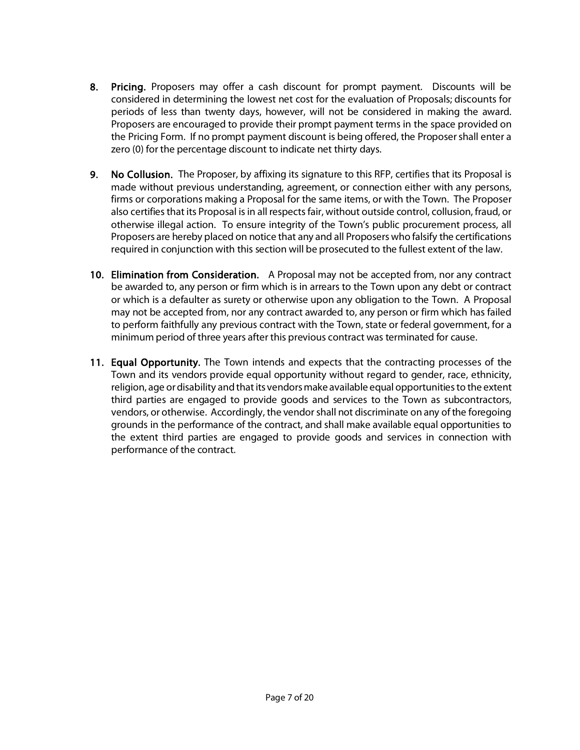- 8. Pricing. Proposers may offer a cash discount for prompt payment. Discounts will be considered in determining the lowest net cost for the evaluation of Proposals; discounts for periods of less than twenty days, however, will not be considered in making the award. Proposers are encouraged to provide their prompt payment terms in the space provided on the Pricing Form. If no prompt payment discount is being offered, the Proposershall enter a zero (0) for the percentage discount to indicate net thirty days.
- 9. No Collusion. The Proposer, by affixing its signature to this RFP, certifies that its Proposal is made without previous understanding, agreement, or connection either with any persons, firms or corporations making a Proposal for the same items, or with the Town. The Proposer also certifies that its Proposal is in all respects fair, without outside control, collusion, fraud, or otherwise illegal action. To ensure integrity of the Town's public procurement process, all Proposers are hereby placed on notice that any and all Proposers who falsify the certifications required in conjunction with this section will be prosecuted to the fullest extent of the law.
- 10. Elimination from Consideration. A Proposal may not be accepted from, nor any contract be awarded to, any person or firm which is in arrears to the Town upon any debt or contract or which is a defaulter as surety or otherwise upon any obligation to the Town. A Proposal may not be accepted from, nor any contract awarded to, any person or firm which has failed to perform faithfully any previous contract with the Town, state or federal government, for a minimum period of three years after this previous contract was terminated for cause.
- 11. Equal Opportunity. The Town intends and expects that the contracting processes of the Town and its vendors provide equal opportunity without regard to gender, race, ethnicity, religion, age or disability and that its vendors make available equal opportunities to the extent third parties are engaged to provide goods and services to the Town as subcontractors, vendors, or otherwise. Accordingly, the vendor shall not discriminate on any of the foregoing grounds in the performance of the contract, and shall make available equal opportunities to the extent third parties are engaged to provide goods and services in connection with performance of the contract.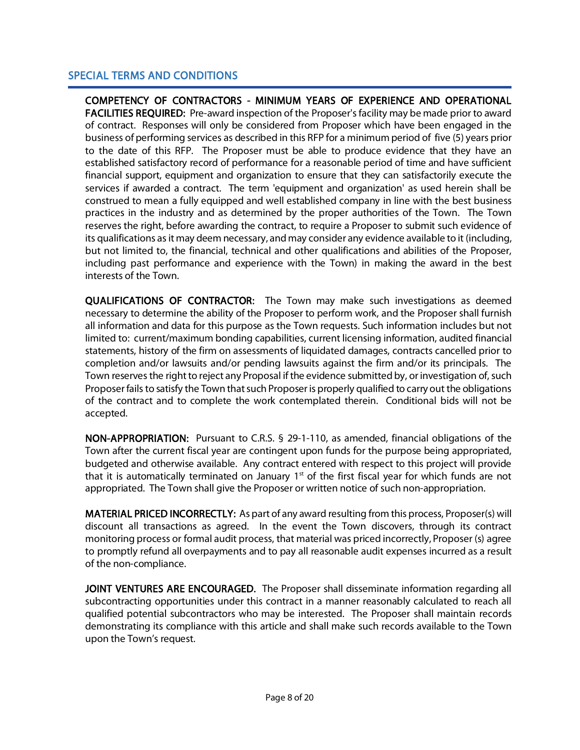## SPECIAL TERMS AND CONDITIONS

COMPETENCY OF CONTRACTORS - MINIMUM YEARS OF EXPERIENCE AND OPERATIONAL FACILITIES REQUIRED: Pre-award inspection of the Proposer's facility may be made prior to award of contract. Responses will only be considered from Proposer which have been engaged in the business of performing services as described in this RFP for a minimum period of five (5) years prior to the date of this RFP. The Proposer must be able to produce evidence that they have an established satisfactory record of performance for a reasonable period of time and have sufficient financial support, equipment and organization to ensure that they can satisfactorily execute the services if awarded a contract. The term 'equipment and organization' as used herein shall be construed to mean a fully equipped and well established company in line with the best business practices in the industry and as determined by the proper authorities of the Town. The Town reserves the right, before awarding the contract, to require a Proposer to submit such evidence of its qualifications as it may deem necessary, and may consider any evidence available to it (including, but not limited to, the financial, technical and other qualifications and abilities of the Proposer, including past performance and experience with the Town) in making the award in the best interests of the Town.

QUALIFICATIONS OF CONTRACTOR: The Town may make such investigations as deemed necessary to determine the ability of the Proposer to perform work, and the Proposer shall furnish all information and data for this purpose as the Town requests. Such information includes but not limited to: current/maximum bonding capabilities, current licensing information, audited financial statements, history of the firm on assessments of liquidated damages, contracts cancelled prior to completion and/or lawsuits and/or pending lawsuits against the firm and/or its principals. The Town reserves the right to reject any Proposal if the evidence submitted by, or investigation of, such Proposerfails to satisfy the Town that such Proposeris properly qualified to carry out the obligations of the contract and to complete the work contemplated therein. Conditional bids will not be accepted.

NON-APPROPRIATION: Pursuant to C.R.S. § 29-1-110, as amended, financial obligations of the Town after the current fiscal year are contingent upon funds for the purpose being appropriated, budgeted and otherwise available. Any contract entered with respect to this project will provide that it is automatically terminated on January  $1<sup>st</sup>$  of the first fiscal year for which funds are not appropriated. The Town shall give the Proposer or written notice of such non-appropriation.

MATERIAL PRICED INCORRECTLY: As part of any award resulting from this process, Proposer(s) will discount all transactions as agreed. In the event the Town discovers, through its contract monitoring process or formal audit process, that material was priced incorrectly, Proposer (s) agree to promptly refund all overpayments and to pay all reasonable audit expenses incurred as a result of the non-compliance.

JOINT VENTURES ARE ENCOURAGED. The Proposer shall disseminate information regarding all subcontracting opportunities under this contract in a manner reasonably calculated to reach all qualified potential subcontractors who may be interested. The Proposer shall maintain records demonstrating its compliance with this article and shall make such records available to the Town upon the Town's request.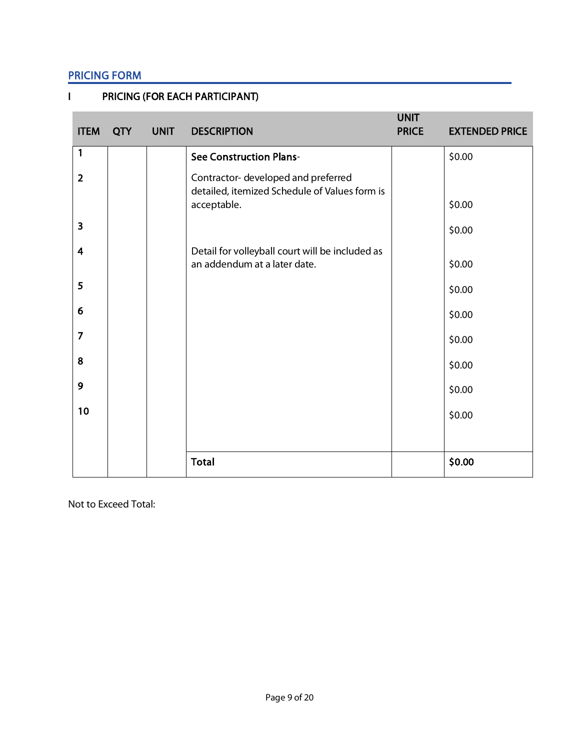# PRICING FORM

| <b>ITEM</b>             | QTY | <b>UNIT</b> | <b>DESCRIPTION</b>                                                                  | <b>UNIT</b><br><b>PRICE</b> | <b>EXTENDED PRICE</b> |
|-------------------------|-----|-------------|-------------------------------------------------------------------------------------|-----------------------------|-----------------------|
| 1                       |     |             | <b>See Construction Plans-</b>                                                      |                             | \$0.00                |
| $\overline{2}$          |     |             | Contractor-developed and preferred<br>detailed, itemized Schedule of Values form is |                             |                       |
|                         |     |             | acceptable.                                                                         |                             | \$0.00                |
| $\overline{\mathbf{3}}$ |     |             |                                                                                     |                             | \$0.00                |
| $\overline{\mathbf{4}}$ |     |             | Detail for volleyball court will be included as<br>an addendum at a later date.     |                             | \$0.00                |
| 5                       |     |             |                                                                                     |                             | \$0.00                |
| 6                       |     |             |                                                                                     |                             | \$0.00                |
| 7                       |     |             |                                                                                     |                             | \$0.00                |
| 8                       |     |             |                                                                                     |                             | \$0.00                |
| 9                       |     |             |                                                                                     |                             | \$0.00                |
| 10                      |     |             |                                                                                     |                             | \$0.00                |
|                         |     |             |                                                                                     |                             |                       |
|                         |     |             | <b>Total</b>                                                                        |                             | \$0.00                |

# I PRICING (FOR EACH PARTICIPANT)

Not to Exceed Total: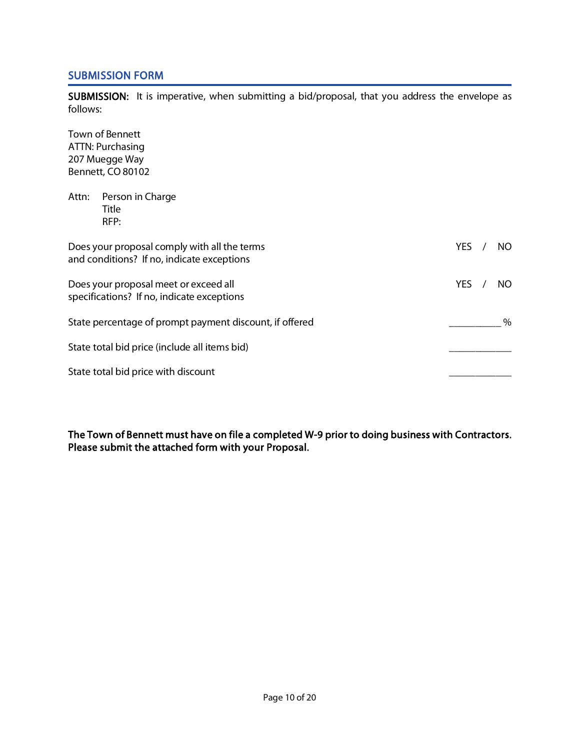# SUBMISSION FORM

SUBMISSION: It is imperative, when submitting a bid/proposal, that you address the envelope as follows:

| Town of Bennett                                                                            |  |  |      |  |
|--------------------------------------------------------------------------------------------|--|--|------|--|
| ATTN: Purchasing<br>207 Muegge Way                                                         |  |  |      |  |
| Bennett, CO 80102                                                                          |  |  |      |  |
| Person in Charge<br>Attn:<br>Title<br>RFP:                                                 |  |  |      |  |
| Does your proposal comply with all the terms<br>and conditions? If no, indicate exceptions |  |  | NO.  |  |
| Does your proposal meet or exceed all<br>specifications? If no, indicate exceptions        |  |  | NO.  |  |
| State percentage of prompt payment discount, if offered                                    |  |  | $\%$ |  |
| State total bid price (include all items bid)                                              |  |  |      |  |
| State total bid price with discount                                                        |  |  |      |  |

The Town of Bennett must have on file a completed W-9 prior to doing business with Contractors. Please submit the attached form with your Proposal.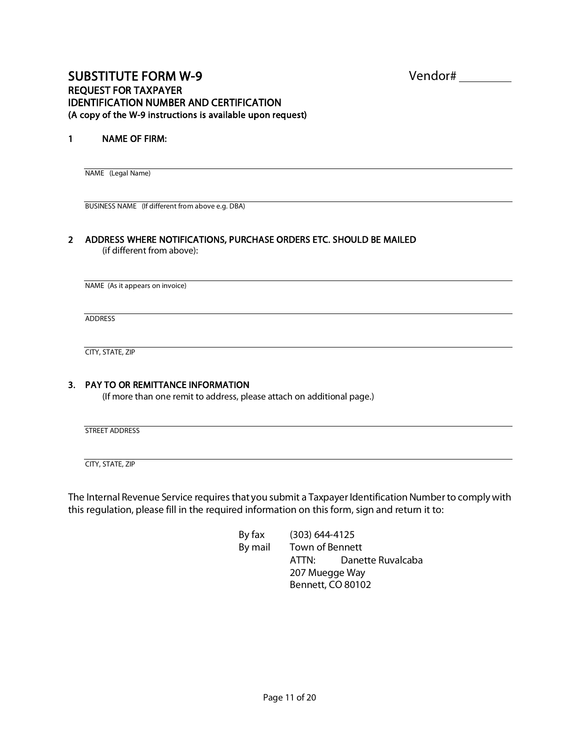## SUBSTITUTE FORM W-9 Vendor# REQUEST FOR TAXPAYER IDENTIFICATION NUMBER AND CERTIFICATION (A copy of the W-9 instructions is available upon request)

#### 1 NAME OF FIRM:

NAME (Legal Name)

BUSINESS NAME (If different from above e.g. DBA)

#### 2 ADDRESS WHERE NOTIFICATIONS, PURCHASE ORDERS ETC. SHOULD BE MAILED (if different from above):

NAME (As it appears on invoice)

ADDRESS

CITY, STATE, ZIP

#### 3. PAY TO OR REMITTANCE INFORMATION

(If more than one remit to address, please attach on additional page.)

STREET ADDRESS

CITY, STATE, ZIP

The Internal Revenue Service requires that you submit a Taxpayer Identification Number to comply with this regulation, please fill in the required information on this form, sign and return it to:

> By fax (303) 644-4125 By mail Town of Bennett ATTN: Danette Ruvalcaba 207 Muegge Way Bennett, CO 80102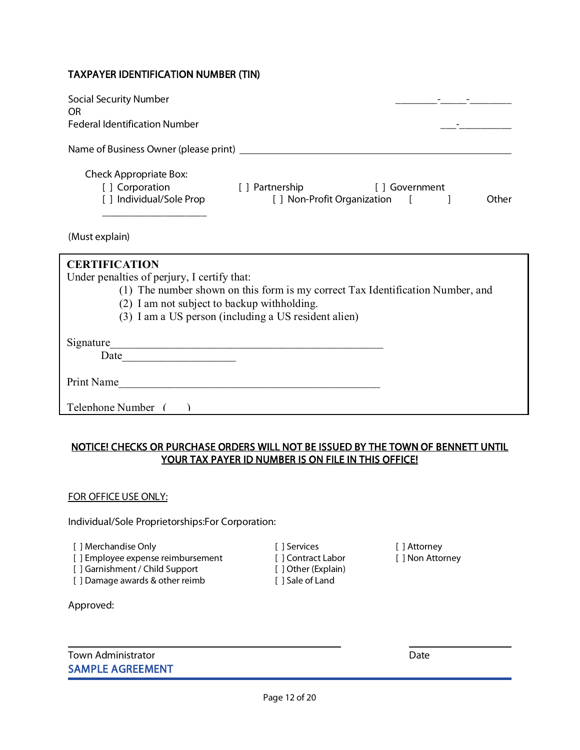## TAXPAYER IDENTIFICATION NUMBER (TIN)

| <b>Social Security Number</b><br><b>OR</b>                                                                                    |                                                                             |  |  |  |  |  |
|-------------------------------------------------------------------------------------------------------------------------------|-----------------------------------------------------------------------------|--|--|--|--|--|
| <b>Federal Identification Number</b>                                                                                          |                                                                             |  |  |  |  |  |
|                                                                                                                               |                                                                             |  |  |  |  |  |
| <b>Check Appropriate Box:</b><br>[] Corporation<br>[ ] Individual/Sole Prop                                                   | [ ] Partnership<br>[ ] Government<br>[ ] Non-Profit Organization [<br>Other |  |  |  |  |  |
| (Must explain)                                                                                                                |                                                                             |  |  |  |  |  |
| <b>CERTIFICATION</b>                                                                                                          |                                                                             |  |  |  |  |  |
| Under penalties of perjury, I certify that:                                                                                   |                                                                             |  |  |  |  |  |
| (1) The number shown on this form is my correct Tax Identification Number, and<br>(2) I am not subject to backup withholding. |                                                                             |  |  |  |  |  |
|                                                                                                                               | (3) I am a US person (including a US resident alien)                        |  |  |  |  |  |
|                                                                                                                               |                                                                             |  |  |  |  |  |
| Signature                                                                                                                     |                                                                             |  |  |  |  |  |
| Date                                                                                                                          |                                                                             |  |  |  |  |  |
| Print Name                                                                                                                    |                                                                             |  |  |  |  |  |
| Telenhone Number ()                                                                                                           |                                                                             |  |  |  |  |  |

## NOTICE! CHECKS OR PURCHASE ORDERS WILL NOT BE ISSUED BY THE TOWN OF BENNETT UNTIL YOUR TAX PAYER ID NUMBER IS ON FILE IN THIS OFFICE!

#### FOR OFFICE USE ONLY:

Individual/Sole Proprietorships:For Corporation:

[ ] Merchandise Only [ ] Services [ ] Attorney

- [ ] Employee expense reimbursement [ ] Contract Labor [ ] Non Attorney
- [ ] Garnishment / Child Support [ ] Other (Explain)

[ ] Damage awards & other reimb [ ] Sale of Land

Approved:

Town Administrator **Date Date Date Date Date Date Date Date** SAMPLE AGREEMENT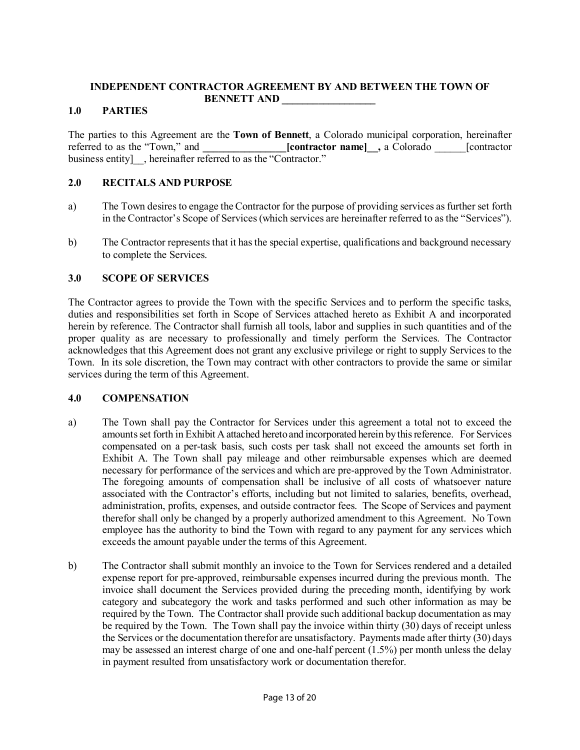## **INDEPENDENT CONTRACTOR AGREEMENT BY AND BETWEEN THE TOWN OF BENNETT AND \_\_\_\_\_\_\_\_\_\_\_\_\_\_\_\_\_\_**

#### **1.0 PARTIES**

The parties to this Agreement are the **Town of Bennett**, a Colorado municipal corporation, hereinafter referred to as the "Town," and **\_\_\_\_\_\_\_\_\_\_\_\_\_\_\_\_[contractor name]\_\_,** a Colorado \_\_\_\_\_\_[contractor business entity [1], hereinafter referred to as the "Contractor."

### **2.0 RECITALS AND PURPOSE**

- a) The Town desires to engage the Contractor for the purpose of providing services as further set forth in the Contractor's Scope of Services (which services are hereinafter referred to as the "Services").
- b) The Contractor represents that it has the special expertise, qualifications and background necessary to complete the Services.

#### **3.0 SCOPE OF SERVICES**

The Contractor agrees to provide the Town with the specific Services and to perform the specific tasks, duties and responsibilities set forth in Scope of Services attached hereto as Exhibit A and incorporated herein by reference. The Contractor shall furnish all tools, labor and supplies in such quantities and of the proper quality as are necessary to professionally and timely perform the Services. The Contractor acknowledges that this Agreement does not grant any exclusive privilege or right to supply Services to the Town. In its sole discretion, the Town may contract with other contractors to provide the same or similar services during the term of this Agreement.

#### **4.0 COMPENSATION**

- a) The Town shall pay the Contractor for Services under this agreement a total not to exceed the amounts set forth in Exhibit A attached hereto and incorporated herein by this reference. For Services compensated on a per-task basis, such costs per task shall not exceed the amounts set forth in Exhibit A. The Town shall pay mileage and other reimbursable expenses which are deemed necessary for performance of the services and which are pre-approved by the Town Administrator. The foregoing amounts of compensation shall be inclusive of all costs of whatsoever nature associated with the Contractor's efforts, including but not limited to salaries, benefits, overhead, administration, profits, expenses, and outside contractor fees. The Scope of Services and payment therefor shall only be changed by a properly authorized amendment to this Agreement. No Town employee has the authority to bind the Town with regard to any payment for any services which exceeds the amount payable under the terms of this Agreement.
- b) The Contractor shall submit monthly an invoice to the Town for Services rendered and a detailed expense report for pre-approved, reimbursable expenses incurred during the previous month. The invoice shall document the Services provided during the preceding month, identifying by work category and subcategory the work and tasks performed and such other information as may be required by the Town. The Contractor shall provide such additional backup documentation as may be required by the Town. The Town shall pay the invoice within thirty (30) days of receipt unless the Services or the documentation therefor are unsatisfactory. Payments made after thirty (30) days may be assessed an interest charge of one and one-half percent (1.5%) per month unless the delay in payment resulted from unsatisfactory work or documentation therefor.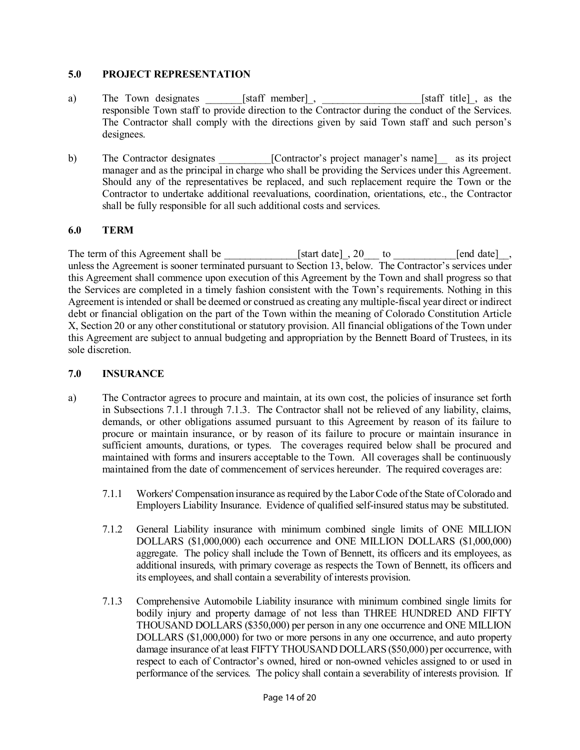#### **5.0 PROJECT REPRESENTATION**

- a) The Town designates \_\_\_\_\_\_\_\_[staff member]<sub>\_1</sub>, \_\_\_\_\_\_\_\_\_\_\_\_\_\_\_\_\_\_\_\_\_\_\_\_\_\_\_\_\_\_[staff title]\_, as the responsible Town staff to provide direction to the Contractor during the conduct of the Services. The Contractor shall comply with the directions given by said Town staff and such person's designees.
- b) The Contractor designates [Contractor's project manager's name] as its project manager and as the principal in charge who shall be providing the Services under this Agreement. Should any of the representatives be replaced, and such replacement require the Town or the Contractor to undertake additional reevaluations, coordination, orientations, etc., the Contractor shall be fully responsible for all such additional costs and services.

## **6.0 TERM**

The term of this Agreement shall be  $\qquad \qquad$  [start date], 20\_\_ to  $\qquad \qquad$  [end date], unless the Agreement is sooner terminated pursuant to Section 13, below. The Contractor's services under this Agreement shall commence upon execution of this Agreement by the Town and shall progress so that the Services are completed in a timely fashion consistent with the Town's requirements. Nothing in this Agreement is intended or shall be deemed or construed as creating any multiple-fiscal year direct or indirect debt or financial obligation on the part of the Town within the meaning of Colorado Constitution Article X, Section 20 or any other constitutional or statutory provision. All financial obligations of the Town under this Agreement are subject to annual budgeting and appropriation by the Bennett Board of Trustees, in its sole discretion.

#### **7.0 INSURANCE**

- a) The Contractor agrees to procure and maintain, at its own cost, the policies of insurance set forth in Subsections 7.1.1 through 7.1.3. The Contractor shall not be relieved of any liability, claims, demands, or other obligations assumed pursuant to this Agreement by reason of its failure to procure or maintain insurance, or by reason of its failure to procure or maintain insurance in sufficient amounts, durations, or types. The coverages required below shall be procured and maintained with forms and insurers acceptable to the Town. All coverages shall be continuously maintained from the date of commencement of services hereunder. The required coverages are:
	- 7.1.1 Workers' Compensation insurance as required by the Labor Code of the State of Colorado and Employers Liability Insurance. Evidence of qualified self-insured status may be substituted.
	- 7.1.2 General Liability insurance with minimum combined single limits of ONE MILLION DOLLARS (\$1,000,000) each occurrence and ONE MILLION DOLLARS (\$1,000,000) aggregate. The policy shall include the Town of Bennett, its officers and its employees, as additional insureds, with primary coverage as respects the Town of Bennett, its officers and its employees, and shall contain a severability of interests provision.
	- 7.1.3 Comprehensive Automobile Liability insurance with minimum combined single limits for bodily injury and property damage of not less than THREE HUNDRED AND FIFTY THOUSAND DOLLARS (\$350,000) per person in any one occurrence and ONE MILLION DOLLARS (\$1,000,000) for two or more persons in any one occurrence, and auto property damage insurance of at least FIFTY THOUSAND DOLLARS (\$50,000) per occurrence, with respect to each of Contractor's owned, hired or non-owned vehicles assigned to or used in performance of the services. The policy shall contain a severability of interests provision. If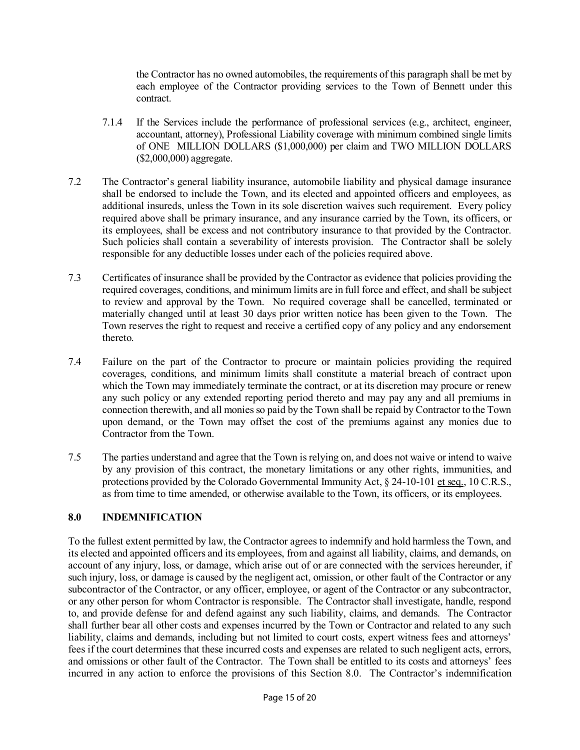the Contractor has no owned automobiles, the requirements of this paragraph shall be met by each employee of the Contractor providing services to the Town of Bennett under this contract.

- 7.1.4 If the Services include the performance of professional services (e.g., architect, engineer, accountant, attorney), Professional Liability coverage with minimum combined single limits of ONE MILLION DOLLARS (\$1,000,000) per claim and TWO MILLION DOLLARS (\$2,000,000) aggregate.
- 7.2 The Contractor's general liability insurance, automobile liability and physical damage insurance shall be endorsed to include the Town, and its elected and appointed officers and employees, as additional insureds, unless the Town in its sole discretion waives such requirement. Every policy required above shall be primary insurance, and any insurance carried by the Town, its officers, or its employees, shall be excess and not contributory insurance to that provided by the Contractor. Such policies shall contain a severability of interests provision. The Contractor shall be solely responsible for any deductible losses under each of the policies required above.
- 7.3 Certificates of insurance shall be provided by the Contractor as evidence that policies providing the required coverages, conditions, and minimum limits are in full force and effect, and shall be subject to review and approval by the Town. No required coverage shall be cancelled, terminated or materially changed until at least 30 days prior written notice has been given to the Town. The Town reserves the right to request and receive a certified copy of any policy and any endorsement thereto.
- 7.4 Failure on the part of the Contractor to procure or maintain policies providing the required coverages, conditions, and minimum limits shall constitute a material breach of contract upon which the Town may immediately terminate the contract, or at its discretion may procure or renew any such policy or any extended reporting period thereto and may pay any and all premiums in connection therewith, and all monies so paid by the Town shall be repaid by Contractor to the Town upon demand, or the Town may offset the cost of the premiums against any monies due to Contractor from the Town.
- 7.5 The parties understand and agree that the Town is relying on, and does not waive or intend to waive by any provision of this contract, the monetary limitations or any other rights, immunities, and protections provided by the Colorado Governmental Immunity Act, § 24-10-101 et seq., 10 C.R.S., as from time to time amended, or otherwise available to the Town, its officers, or its employees.

## **8.0 INDEMNIFICATION**

To the fullest extent permitted by law, the Contractor agrees to indemnify and hold harmless the Town, and its elected and appointed officers and its employees, from and against all liability, claims, and demands, on account of any injury, loss, or damage, which arise out of or are connected with the services hereunder, if such injury, loss, or damage is caused by the negligent act, omission, or other fault of the Contractor or any subcontractor of the Contractor, or any officer, employee, or agent of the Contractor or any subcontractor, or any other person for whom Contractor is responsible. The Contractor shall investigate, handle, respond to, and provide defense for and defend against any such liability, claims, and demands. The Contractor shall further bear all other costs and expenses incurred by the Town or Contractor and related to any such liability, claims and demands, including but not limited to court costs, expert witness fees and attorneys' fees if the court determines that these incurred costs and expenses are related to such negligent acts, errors, and omissions or other fault of the Contractor. The Town shall be entitled to its costs and attorneys' fees incurred in any action to enforce the provisions of this Section 8.0. The Contractor's indemnification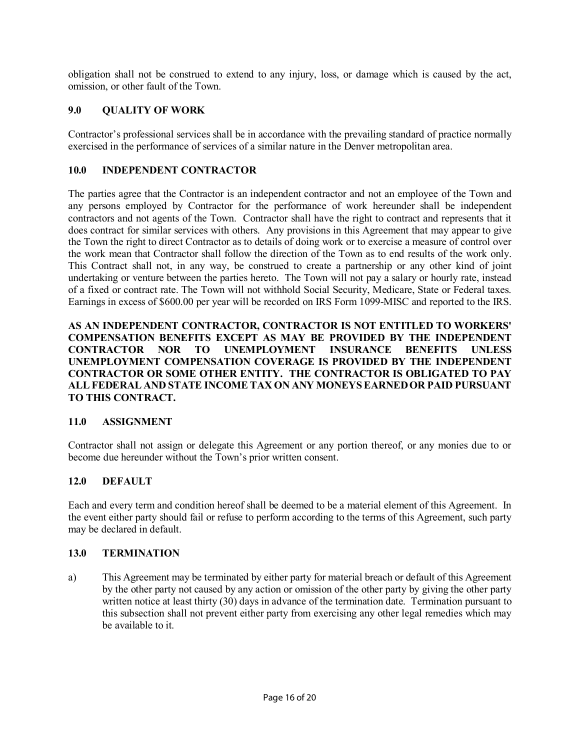obligation shall not be construed to extend to any injury, loss, or damage which is caused by the act, omission, or other fault of the Town.

## **9.0 QUALITY OF WORK**

Contractor's professional services shall be in accordance with the prevailing standard of practice normally exercised in the performance of services of a similar nature in the Denver metropolitan area.

## **10.0 INDEPENDENT CONTRACTOR**

The parties agree that the Contractor is an independent contractor and not an employee of the Town and any persons employed by Contractor for the performance of work hereunder shall be independent contractors and not agents of the Town. Contractor shall have the right to contract and represents that it does contract for similar services with others. Any provisions in this Agreement that may appear to give the Town the right to direct Contractor as to details of doing work or to exercise a measure of control over the work mean that Contractor shall follow the direction of the Town as to end results of the work only. This Contract shall not, in any way, be construed to create a partnership or any other kind of joint undertaking or venture between the parties hereto. The Town will not pay a salary or hourly rate, instead of a fixed or contract rate. The Town will not withhold Social Security, Medicare, State or Federal taxes. Earnings in excess of \$600.00 per year will be recorded on IRS Form 1099-MISC and reported to the IRS.

**AS AN INDEPENDENT CONTRACTOR, CONTRACTOR IS NOT ENTITLED TO WORKERS' COMPENSATION BENEFITS EXCEPT AS MAY BE PROVIDED BY THE INDEPENDENT CONTRACTOR NOR TO UNEMPLOYMENT INSURANCE BENEFITS UNLESS UNEMPLOYMENT COMPENSATION COVERAGE IS PROVIDED BY THE INDEPENDENT CONTRACTOR OR SOME OTHER ENTITY. THE CONTRACTOR IS OBLIGATED TO PAY ALL FEDERAL AND STATE INCOME TAX ON ANY MONEYS EARNED OR PAID PURSUANT TO THIS CONTRACT.**

## **11.0 ASSIGNMENT**

Contractor shall not assign or delegate this Agreement or any portion thereof, or any monies due to or become due hereunder without the Town's prior written consent.

## **12.0 DEFAULT**

Each and every term and condition hereof shall be deemed to be a material element of this Agreement. In the event either party should fail or refuse to perform according to the terms of this Agreement, such party may be declared in default.

## **13.0 TERMINATION**

a) This Agreement may be terminated by either party for material breach or default of this Agreement by the other party not caused by any action or omission of the other party by giving the other party written notice at least thirty (30) days in advance of the termination date. Termination pursuant to this subsection shall not prevent either party from exercising any other legal remedies which may be available to it.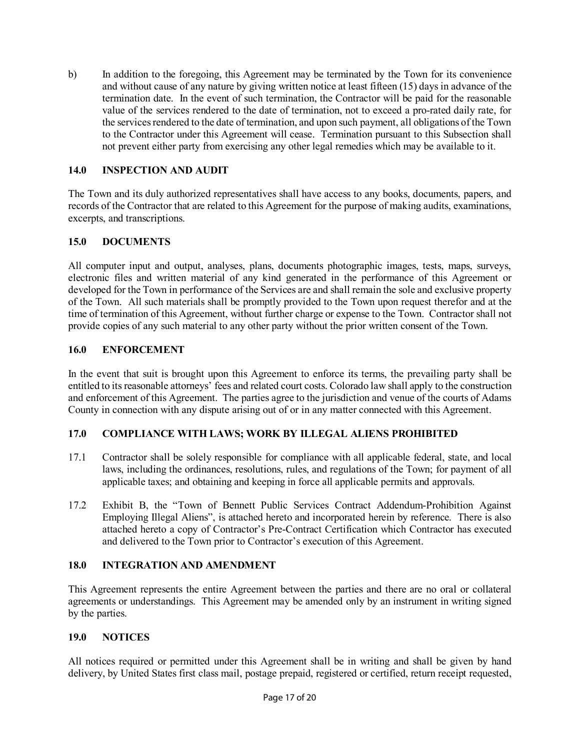b) In addition to the foregoing, this Agreement may be terminated by the Town for its convenience and without cause of any nature by giving written notice at least fifteen (15) days in advance of the termination date. In the event of such termination, the Contractor will be paid for the reasonable value of the services rendered to the date of termination, not to exceed a pro-rated daily rate, for the services rendered to the date of termination, and upon such payment, all obligations of the Town to the Contractor under this Agreement will cease. Termination pursuant to this Subsection shall not prevent either party from exercising any other legal remedies which may be available to it.

## **14.0 INSPECTION AND AUDIT**

The Town and its duly authorized representatives shall have access to any books, documents, papers, and records of the Contractor that are related to this Agreement for the purpose of making audits, examinations, excerpts, and transcriptions.

## **15.0 DOCUMENTS**

All computer input and output, analyses, plans, documents photographic images, tests, maps, surveys, electronic files and written material of any kind generated in the performance of this Agreement or developed for the Town in performance of the Services are and shall remain the sole and exclusive property of the Town. All such materials shall be promptly provided to the Town upon request therefor and at the time of termination of this Agreement, without further charge or expense to the Town. Contractor shall not provide copies of any such material to any other party without the prior written consent of the Town.

## **16.0 ENFORCEMENT**

In the event that suit is brought upon this Agreement to enforce its terms, the prevailing party shall be entitled to its reasonable attorneys' fees and related court costs. Colorado law shall apply to the construction and enforcement of this Agreement. The parties agree to the jurisdiction and venue of the courts of Adams County in connection with any dispute arising out of or in any matter connected with this Agreement.

## **17.0 COMPLIANCE WITH LAWS; WORK BY ILLEGAL ALIENS PROHIBITED**

- 17.1 Contractor shall be solely responsible for compliance with all applicable federal, state, and local laws, including the ordinances, resolutions, rules, and regulations of the Town; for payment of all applicable taxes; and obtaining and keeping in force all applicable permits and approvals.
- 17.2 Exhibit B, the "Town of Bennett Public Services Contract Addendum-Prohibition Against Employing Illegal Aliens", is attached hereto and incorporated herein by reference. There is also attached hereto a copy of Contractor's Pre-Contract Certification which Contractor has executed and delivered to the Town prior to Contractor's execution of this Agreement.

## **18.0 INTEGRATION AND AMENDMENT**

This Agreement represents the entire Agreement between the parties and there are no oral or collateral agreements or understandings. This Agreement may be amended only by an instrument in writing signed by the parties.

## **19.0 NOTICES**

All notices required or permitted under this Agreement shall be in writing and shall be given by hand delivery, by United States first class mail, postage prepaid, registered or certified, return receipt requested,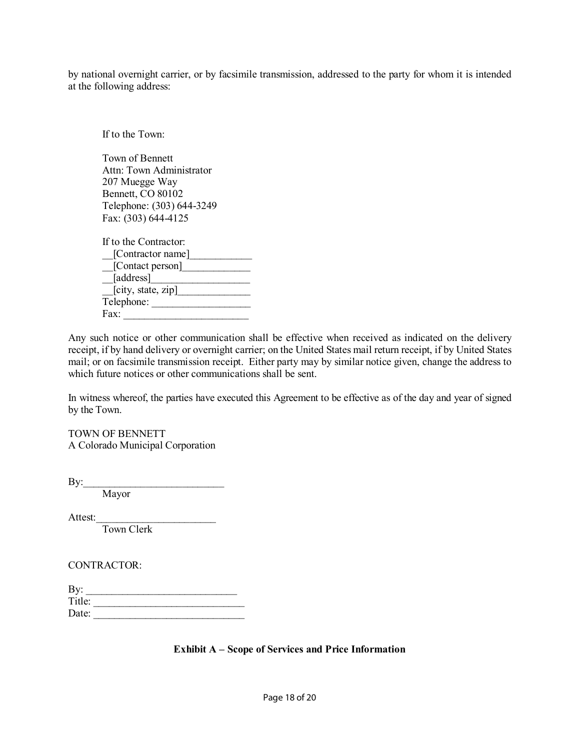by national overnight carrier, or by facsimile transmission, addressed to the party for whom it is intended at the following address:

If to the Town: Town of Bennett Attn: Town Administrator 207 Muegge Way Bennett, CO 80102 Telephone: (303) 644-3249 Fax: (303) 644-4125 If to the Contractor: [Contractor name] \_\_[Contact person]\_\_\_\_\_\_\_\_\_\_\_\_\_  $\boxed{\phantom{a}}$  [address]  $\overline{\lbrack \text{city, state, zip}\rbrack}$ Telephone: \_\_\_\_\_\_\_\_\_\_\_\_\_\_\_\_\_\_\_ Fax:

Any such notice or other communication shall be effective when received as indicated on the delivery receipt, if by hand delivery or overnight carrier; on the United States mail return receipt, if by United States mail; or on facsimile transmission receipt. Either party may by similar notice given, change the address to which future notices or other communications shall be sent.

In witness whereof, the parties have executed this Agreement to be effective as of the day and year of signed by the Town.

TOWN OF BENNETT A Colorado Municipal Corporation

 $By:$ Mayor

Attest:\_\_\_\_\_\_\_\_\_\_\_\_\_\_\_\_\_\_\_\_\_\_\_

Town Clerk

CONTRACTOR:

| By:    |  |  |
|--------|--|--|
| Title: |  |  |
| Date:  |  |  |

## **Exhibit A – Scope of Services and Price Information**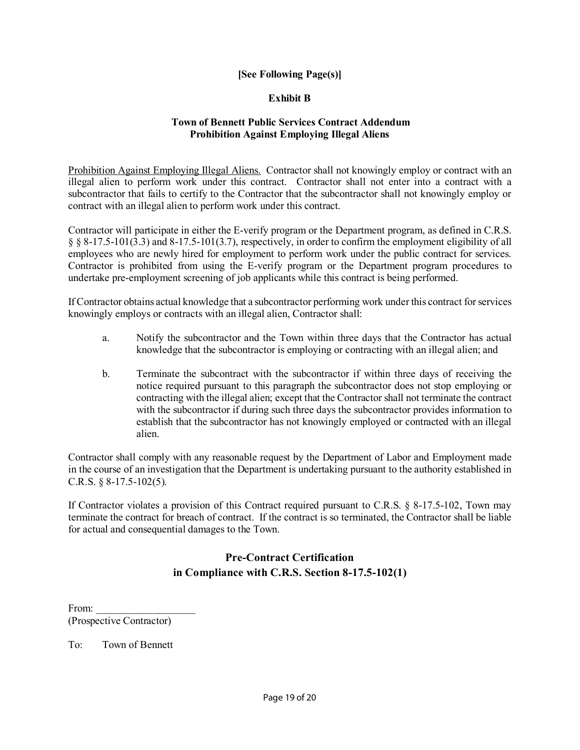## **[See Following Page(s)]**

#### **Exhibit B**

#### **Town of Bennett Public Services Contract Addendum Prohibition Against Employing Illegal Aliens**

Prohibition Against Employing Illegal Aliens. Contractor shall not knowingly employ or contract with an illegal alien to perform work under this contract. Contractor shall not enter into a contract with a subcontractor that fails to certify to the Contractor that the subcontractor shall not knowingly employ or contract with an illegal alien to perform work under this contract.

Contractor will participate in either the E-verify program or the Department program, as defined in C.R.S. § § 8-17.5-101(3.3) and 8-17.5-101(3.7), respectively, in order to confirm the employment eligibility of all employees who are newly hired for employment to perform work under the public contract for services. Contractor is prohibited from using the E-verify program or the Department program procedures to undertake pre-employment screening of job applicants while this contract is being performed.

If Contractor obtains actual knowledge that a subcontractor performing work under this contract for services knowingly employs or contracts with an illegal alien, Contractor shall:

- a. Notify the subcontractor and the Town within three days that the Contractor has actual knowledge that the subcontractor is employing or contracting with an illegal alien; and
- b. Terminate the subcontract with the subcontractor if within three days of receiving the notice required pursuant to this paragraph the subcontractor does not stop employing or contracting with the illegal alien; except that the Contractor shall not terminate the contract with the subcontractor if during such three days the subcontractor provides information to establish that the subcontractor has not knowingly employed or contracted with an illegal alien.

Contractor shall comply with any reasonable request by the Department of Labor and Employment made in the course of an investigation that the Department is undertaking pursuant to the authority established in C.R.S. § 8-17.5-102(5).

If Contractor violates a provision of this Contract required pursuant to C.R.S. § 8-17.5-102, Town may terminate the contract for breach of contract. If the contract is so terminated, the Contractor shall be liable for actual and consequential damages to the Town.

# **Pre-Contract Certification in Compliance with C.R.S. Section 8-17.5-102(1)**

From: (Prospective Contractor)

To: Town of Bennett